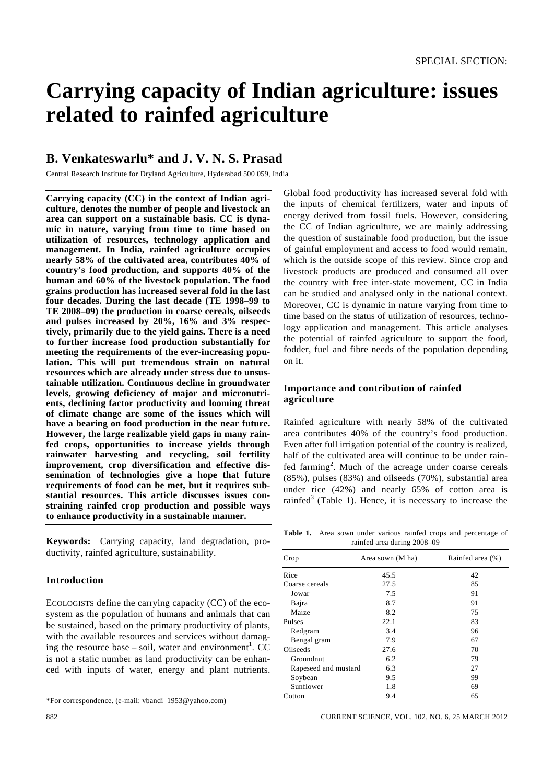# **Carrying capacity of Indian agriculture: issues related to rainfed agriculture**

# **B. Venkateswarlu\* and J. V. N. S. Prasad**

Central Research Institute for Dryland Agriculture, Hyderabad 500 059, India

**Carrying capacity (CC) in the context of Indian agriculture, denotes the number of people and livestock an area can support on a sustainable basis. CC is dynamic in nature, varying from time to time based on utilization of resources, technology application and management. In India, rainfed agriculture occupies nearly 58% of the cultivated area, contributes 40% of country's food production, and supports 40% of the human and 60% of the livestock population. The food grains production has increased several fold in the last four decades. During the last decade (TE 1998–99 to TE 2008–09) the production in coarse cereals, oilseeds and pulses increased by 20%, 16% and 3% respectively, primarily due to the yield gains. There is a need to further increase food production substantially for meeting the requirements of the ever-increasing population. This will put tremendous strain on natural resources which are already under stress due to unsustainable utilization. Continuous decline in groundwater levels, growing deficiency of major and micronutrients, declining factor productivity and looming threat of climate change are some of the issues which will have a bearing on food production in the near future. However, the large realizable yield gaps in many rainfed crops, opportunities to increase yields through rainwater harvesting and recycling, soil fertility improvement, crop diversification and effective dissemination of technologies give a hope that future requirements of food can be met, but it requires substantial resources. This article discusses issues constraining rainfed crop production and possible ways to enhance productivity in a sustainable manner.** 

**Keywords:** Carrying capacity, land degradation, productivity, rainfed agriculture, sustainability.

### **Introduction**

ECOLOGISTS define the carrying capacity (CC) of the ecosystem as the population of humans and animals that can be sustained, based on the primary productivity of plants, with the available resources and services without damaging the resource base  $-$  soil, water and environment<sup>1</sup>. CC is not a static number as land productivity can be enhanced with inputs of water, energy and plant nutrients.

Global food productivity has increased several fold with the inputs of chemical fertilizers, water and inputs of energy derived from fossil fuels. However, considering the CC of Indian agriculture, we are mainly addressing the question of sustainable food production, but the issue of gainful employment and access to food would remain, which is the outside scope of this review. Since crop and livestock products are produced and consumed all over the country with free inter-state movement, CC in India can be studied and analysed only in the national context. Moreover, CC is dynamic in nature varying from time to time based on the status of utilization of resources, technology application and management. This article analyses the potential of rainfed agriculture to support the food, fodder, fuel and fibre needs of the population depending on it.

## **Importance and contribution of rainfed agriculture**

Rainfed agriculture with nearly 58% of the cultivated area contributes 40% of the country's food production. Even after full irrigation potential of the country is realized, half of the cultivated area will continue to be under rainfed farming<sup>2</sup>. Much of the acreage under coarse cereals (85%), pulses (83%) and oilseeds (70%), substantial area under rice (42%) and nearly 65% of cotton area is rainfed<sup>3</sup> (Table 1). Hence, it is necessary to increase the

**Table 1.** Area sown under various rainfed crops and percentage of rainfed area during 2008–09

| Crop                 | Area sown (M ha) | Rainfed area (%) |  |  |
|----------------------|------------------|------------------|--|--|
| Rice                 | 45.5             | 42               |  |  |
| Coarse cereals       | 27.5             | 85               |  |  |
| Jowar                | 7.5              | 91               |  |  |
| Bajra                | 8.7              | 91               |  |  |
| Maize                | 8.2              | 75               |  |  |
| Pulses               | 22.1             | 83               |  |  |
| Redgram              | 3.4              | 96               |  |  |
| Bengal gram          | 7.9              | 67               |  |  |
| Oilseeds             | 27.6             | 70               |  |  |
| Groundnut            | 6.2              | 79               |  |  |
| Rapeseed and mustard | 6.3              | 27               |  |  |
| Soybean              | 9.5              | 99               |  |  |
| Sunflower            | 1.8              | 69               |  |  |
| Cotton               | 9.4              | 65               |  |  |
|                      |                  |                  |  |  |

<sup>\*</sup>For correspondence. (e-mail: vbandi\_1953@yahoo.com)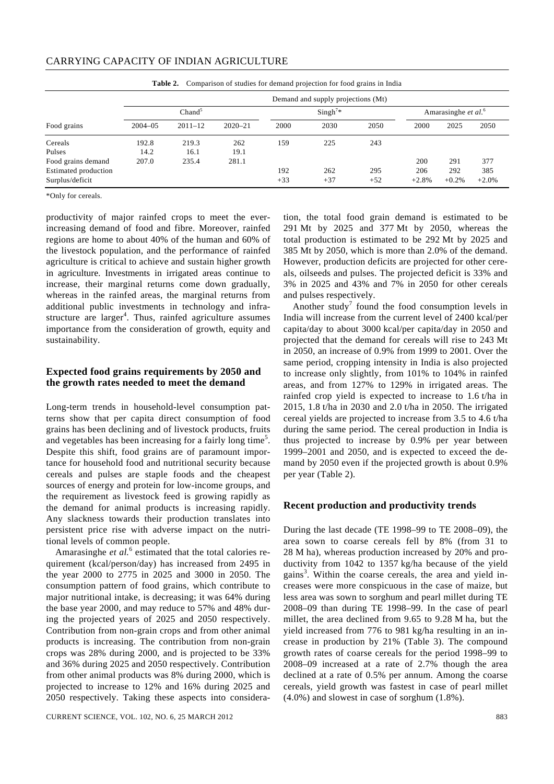| <b>Table 2.</b> Comparison of studies for demand projection for food grains in findia |                                    |              |             |       |                                 |       |         |         |         |
|---------------------------------------------------------------------------------------|------------------------------------|--------------|-------------|-------|---------------------------------|-------|---------|---------|---------|
|                                                                                       | Demand and supply projections (Mt) |              |             |       |                                 |       |         |         |         |
| Chand <sup>5</sup>                                                                    |                                    | $Singh^{7*}$ |             |       | Amarasinghe et al. <sup>6</sup> |       |         |         |         |
| Food grains                                                                           | $2004 - 05$                        | $2011 - 12$  | $2020 - 21$ | 2000  | 2030                            | 2050  | 2000    | 2025    | 2050    |
| Cereals                                                                               | 192.8                              | 219.3        | 262         | 159   | 225                             | 243   |         |         |         |
| Pulses                                                                                | 14.2                               | 16.1         | 19.1        |       |                                 |       |         |         |         |
| Food grains demand                                                                    | 207.0                              | 235.4        | 281.1       |       |                                 |       | 200     | 291     | 377     |
| Estimated production                                                                  |                                    |              |             | 192   | 262                             | 295   | 206     | 292     | 385     |
| Surplus/deficit                                                                       |                                    |              |             | $+33$ | $+37$                           | $+52$ | $+2.8%$ | $+0.2%$ | $+2.0%$ |

**Table 2.** Comparison of studies for demand projection for food grains in India

\*Only for cereals.

productivity of major rainfed crops to meet the everincreasing demand of food and fibre. Moreover, rainfed regions are home to about 40% of the human and 60% of the livestock population, and the performance of rainfed agriculture is critical to achieve and sustain higher growth in agriculture. Investments in irrigated areas continue to increase, their marginal returns come down gradually, whereas in the rainfed areas, the marginal returns from additional public investments in technology and infrastructure are larger<sup>4</sup>. Thus, rainfed agriculture assumes importance from the consideration of growth, equity and sustainability.

### **Expected food grains requirements by 2050 and the growth rates needed to meet the demand**

Long-term trends in household-level consumption patterns show that per capita direct consumption of food grains has been declining and of livestock products, fruits and vegetables has been increasing for a fairly long time<sup>5</sup>. Despite this shift, food grains are of paramount importance for household food and nutritional security because cereals and pulses are staple foods and the cheapest sources of energy and protein for low-income groups, and the requirement as livestock feed is growing rapidly as the demand for animal products is increasing rapidly. Any slackness towards their production translates into persistent price rise with adverse impact on the nutritional levels of common people.

Amarasinghe *et al.*<sup>6</sup> estimated that the total calories requirement (kcal/person/day) has increased from 2495 in the year 2000 to 2775 in 2025 and 3000 in 2050. The consumption pattern of food grains, which contribute to major nutritional intake, is decreasing; it was 64% during the base year 2000, and may reduce to 57% and 48% during the projected years of 2025 and 2050 respectively. Contribution from non-grain crops and from other animal products is increasing. The contribution from non-grain crops was 28% during 2000, and is projected to be 33% and 36% during 2025 and 2050 respectively. Contribution from other animal products was 8% during 2000, which is projected to increase to 12% and 16% during 2025 and 2050 respectively. Taking these aspects into considera-

CURRENT SCIENCE, VOL. 102, NO. 6, 25 MARCH 2012 883

tion, the total food grain demand is estimated to be 291 Mt by 2025 and 377 Mt by 2050, whereas the total production is estimated to be 292 Mt by 2025 and 385 Mt by 2050, which is more than 2.0% of the demand. However, production deficits are projected for other cereals, oilseeds and pulses. The projected deficit is 33% and 3% in 2025 and 43% and 7% in 2050 for other cereals and pulses respectively.

Another study<sup>7</sup> found the food consumption levels in India will increase from the current level of 2400 kcal/per capita/day to about 3000 kcal/per capita/day in 2050 and projected that the demand for cereals will rise to 243 Mt in 2050, an increase of 0.9% from 1999 to 2001. Over the same period, cropping intensity in India is also projected to increase only slightly, from 101% to 104% in rainfed areas, and from 127% to 129% in irrigated areas. The rainfed crop yield is expected to increase to 1.6 t/ha in 2015, 1.8 t/ha in 2030 and 2.0 t/ha in 2050. The irrigated cereal yields are projected to increase from 3.5 to 4.6 t/ha during the same period. The cereal production in India is thus projected to increase by 0.9% per year between 1999–2001 and 2050, and is expected to exceed the demand by 2050 even if the projected growth is about 0.9% per year (Table 2).

#### **Recent production and productivity trends**

During the last decade (TE 1998–99 to TE 2008–09), the area sown to coarse cereals fell by 8% (from 31 to 28 M ha), whereas production increased by 20% and productivity from 1042 to 1357 kg/ha because of the yield gains<sup>3</sup>. Within the coarse cereals, the area and yield increases were more conspicuous in the case of maize, but less area was sown to sorghum and pearl millet during TE 2008–09 than during TE 1998–99. In the case of pearl millet, the area declined from 9.65 to 9.28 M ha, but the yield increased from 776 to 981 kg/ha resulting in an increase in production by 21% (Table 3). The compound growth rates of coarse cereals for the period 1998–99 to 2008–09 increased at a rate of 2.7% though the area declined at a rate of 0.5% per annum. Among the coarse cereals, yield growth was fastest in case of pearl millet (4.0%) and slowest in case of sorghum (1.8%).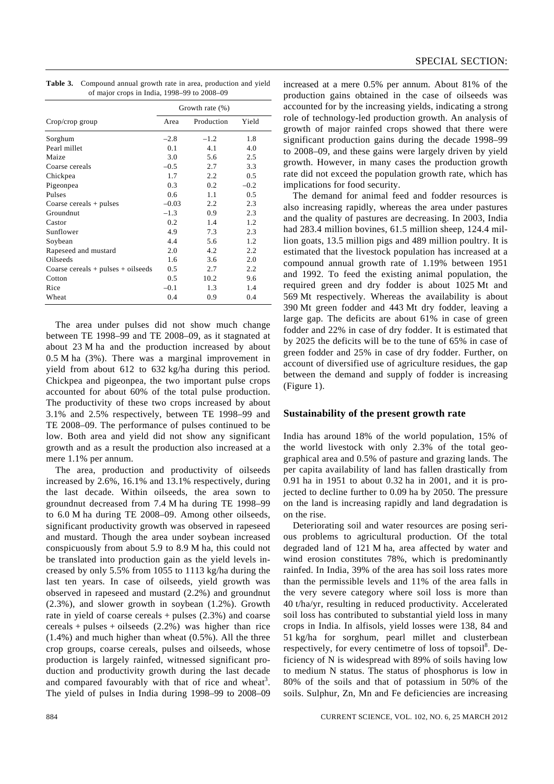| <b>Table 3.</b> Compound annual growth rate in area, production and yield |
|---------------------------------------------------------------------------|
| of major crops in India, 1998–99 to 2008–09                               |

|                                        | Growth rate $(\%)$ |            |        |
|----------------------------------------|--------------------|------------|--------|
| Crop/crop group                        | Area               | Production | Yield  |
| Sorghum                                | $-2.8$             | $-1.2$     | 1.8    |
| Pearl millet                           | 0.1                | 4.1        | 4.0    |
| Maize                                  | 3.0                | 5.6        | 2.5    |
| Coarse cereals                         | $-0.5$             | 2.7        | 3.3    |
| Chickpea                               | 1.7                | 2.2        | 0.5    |
| Pigeonpea                              | 0.3                | 0.2        | $-0.2$ |
| Pulses                                 | 0.6                | 1.1        | 0.5    |
| Coarse cereals $+$ pulses              | $-0.03$            | 2.2        | 2.3    |
| Groundnut                              | $-1.3$             | 0.9        | 2.3    |
| Castor                                 | 0.2                | 1.4        | 1.2    |
| Sunflower                              | 4.9                | 7.3        | 2.3    |
| Soybean                                | 4.4                | 5.6        | 1.2    |
| Rapeseed and mustard                   | 2.0                | 4.2        | 2.2    |
| Oilseeds                               | 1.6                | 3.6        | 2.0    |
| Coarse cereals $+$ pulses $+$ oilseeds | 0.5                | 2.7        | 2.2    |
| Cotton                                 | 0.5                | 10.2       | 9.6    |
| Rice                                   | $-0.1$             | 1.3        | 1.4    |
| Wheat                                  | 0.4                | 0.9        | 0.4    |

 The area under pulses did not show much change between TE 1998–99 and TE 2008–09, as it stagnated at about 23 M ha and the production increased by about 0.5 M ha (3%). There was a marginal improvement in yield from about 612 to 632 kg/ha during this period. Chickpea and pigeonpea, the two important pulse crops accounted for about 60% of the total pulse production. The productivity of these two crops increased by about 3.1% and 2.5% respectively, between TE 1998–99 and TE 2008–09. The performance of pulses continued to be low. Both area and yield did not show any significant growth and as a result the production also increased at a mere 1.1% per annum.

 The area, production and productivity of oilseeds increased by 2.6%, 16.1% and 13.1% respectively, during the last decade. Within oilseeds, the area sown to groundnut decreased from 7.4 M ha during TE 1998–99 to 6.0 M ha during TE 2008–09. Among other oilseeds, significant productivity growth was observed in rapeseed and mustard. Though the area under soybean increased conspicuously from about 5.9 to 8.9 M ha, this could not be translated into production gain as the yield levels increased by only 5.5% from 1055 to 1113 kg/ha during the last ten years. In case of oilseeds, yield growth was observed in rapeseed and mustard (2.2%) and groundnut (2.3%), and slower growth in soybean (1.2%). Growth rate in yield of coarse cereals + pulses (2.3%) and coarse cereals + pulses + oilseeds  $(2.2%)$  was higher than rice (1.4%) and much higher than wheat (0.5%). All the three crop groups, coarse cereals, pulses and oilseeds, whose production is largely rainfed, witnessed significant production and productivity growth during the last decade and compared favourably with that of rice and wheat<sup>3</sup>. The yield of pulses in India during 1998–99 to 2008–09

increased at a mere 0.5% per annum. About 81% of the production gains obtained in the case of oilseeds was accounted for by the increasing yields, indicating a strong role of technology-led production growth. An analysis of growth of major rainfed crops showed that there were significant production gains during the decade 1998–99 to 2008–09, and these gains were largely driven by yield growth. However, in many cases the production growth rate did not exceed the population growth rate, which has implications for food security.

 The demand for animal feed and fodder resources is also increasing rapidly, whereas the area under pastures and the quality of pastures are decreasing. In 2003, India had 283.4 million bovines, 61.5 million sheep, 124.4 million goats, 13.5 million pigs and 489 million poultry. It is estimated that the livestock population has increased at a compound annual growth rate of 1.19% between 1951 and 1992. To feed the existing animal population, the required green and dry fodder is about 1025 Mt and 569 Mt respectively. Whereas the availability is about 390 Mt green fodder and 443 Mt dry fodder, leaving a large gap. The deficits are about 61% in case of green fodder and 22% in case of dry fodder. It is estimated that by 2025 the deficits will be to the tune of 65% in case of green fodder and 25% in case of dry fodder. Further, on account of diversified use of agriculture residues, the gap between the demand and supply of fodder is increasing (Figure 1).

#### **Sustainability of the present growth rate**

India has around 18% of the world population, 15% of the world livestock with only 2.3% of the total geographical area and 0.5% of pasture and grazing lands. The per capita availability of land has fallen drastically from 0.91 ha in 1951 to about 0.32 ha in 2001, and it is projected to decline further to 0.09 ha by 2050. The pressure on the land is increasing rapidly and land degradation is on the rise.

 Deteriorating soil and water resources are posing serious problems to agricultural production. Of the total degraded land of 121 M ha, area affected by water and wind erosion constitutes 78%, which is predominantly rainfed. In India, 39% of the area has soil loss rates more than the permissible levels and 11% of the area falls in the very severe category where soil loss is more than 40 t/ha/yr, resulting in reduced productivity. Accelerated soil loss has contributed to substantial yield loss in many crops in India. In alfisols, yield losses were 138, 84 and 51 kg/ha for sorghum, pearl millet and clusterbean respectively, for every centimetre of loss of topsoil<sup>8</sup>. Deficiency of N is widespread with 89% of soils having low to medium N status. The status of phosphorus is low in 80% of the soils and that of potassium in 50% of the soils. Sulphur, Zn, Mn and Fe deficiencies are increasing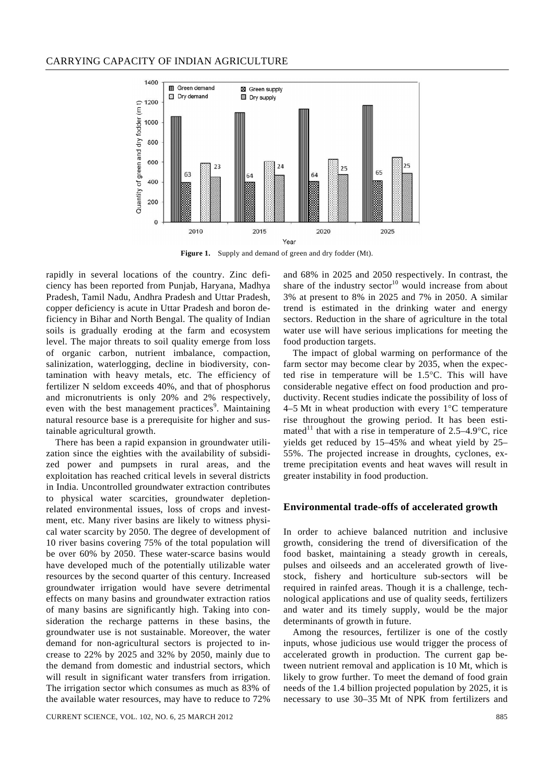

**Figure 1.** Supply and demand of green and dry fodder (Mt).

rapidly in several locations of the country. Zinc deficiency has been reported from Punjab, Haryana, Madhya Pradesh, Tamil Nadu, Andhra Pradesh and Uttar Pradesh, copper deficiency is acute in Uttar Pradesh and boron deficiency in Bihar and North Bengal. The quality of Indian soils is gradually eroding at the farm and ecosystem level. The major threats to soil quality emerge from loss of organic carbon, nutrient imbalance, compaction, salinization, waterlogging, decline in biodiversity, contamination with heavy metals, etc. The efficiency of fertilizer N seldom exceeds 40%, and that of phosphorus and micronutrients is only 20% and 2% respectively, even with the best management practices<sup>9</sup>. Maintaining natural resource base is a prerequisite for higher and sustainable agricultural growth.

 There has been a rapid expansion in groundwater utilization since the eighties with the availability of subsidized power and pumpsets in rural areas, and the exploitation has reached critical levels in several districts in India. Uncontrolled groundwater extraction contributes to physical water scarcities, groundwater depletionrelated environmental issues, loss of crops and investment, etc. Many river basins are likely to witness physical water scarcity by 2050. The degree of development of 10 river basins covering 75% of the total population will be over 60% by 2050. These water-scarce basins would have developed much of the potentially utilizable water resources by the second quarter of this century. Increased groundwater irrigation would have severe detrimental effects on many basins and groundwater extraction ratios of many basins are significantly high. Taking into consideration the recharge patterns in these basins, the groundwater use is not sustainable. Moreover, the water demand for non-agricultural sectors is projected to increase to 22% by 2025 and 32% by 2050, mainly due to the demand from domestic and industrial sectors, which will result in significant water transfers from irrigation. The irrigation sector which consumes as much as 83% of the available water resources, may have to reduce to 72%

CURRENT SCIENCE, VOL. 102, NO. 6, 25 MARCH 2012 885

and 68% in 2025 and 2050 respectively. In contrast, the share of the industry  $sector<sup>10</sup>$  would increase from about 3% at present to 8% in 2025 and 7% in 2050. A similar trend is estimated in the drinking water and energy sectors. Reduction in the share of agriculture in the total water use will have serious implications for meeting the food production targets.

 The impact of global warming on performance of the farm sector may become clear by 2035, when the expected rise in temperature will be 1.5°C. This will have considerable negative effect on food production and productivity. Recent studies indicate the possibility of loss of 4–5 Mt in wheat production with every 1°C temperature rise throughout the growing period. It has been estimated<sup>11</sup> that with a rise in temperature of  $2.5-4.9$ °C, rice yields get reduced by 15–45% and wheat yield by 25– 55%. The projected increase in droughts, cyclones, extreme precipitation events and heat waves will result in greater instability in food production.

#### **Environmental trade-offs of accelerated growth**

In order to achieve balanced nutrition and inclusive growth, considering the trend of diversification of the food basket, maintaining a steady growth in cereals, pulses and oilseeds and an accelerated growth of livestock, fishery and horticulture sub-sectors will be required in rainfed areas. Though it is a challenge, technological applications and use of quality seeds, fertilizers and water and its timely supply, would be the major determinants of growth in future.

 Among the resources, fertilizer is one of the costly inputs, whose judicious use would trigger the process of accelerated growth in production. The current gap between nutrient removal and application is 10 Mt, which is likely to grow further. To meet the demand of food grain needs of the 1.4 billion projected population by 2025, it is necessary to use 30–35 Mt of NPK from fertilizers and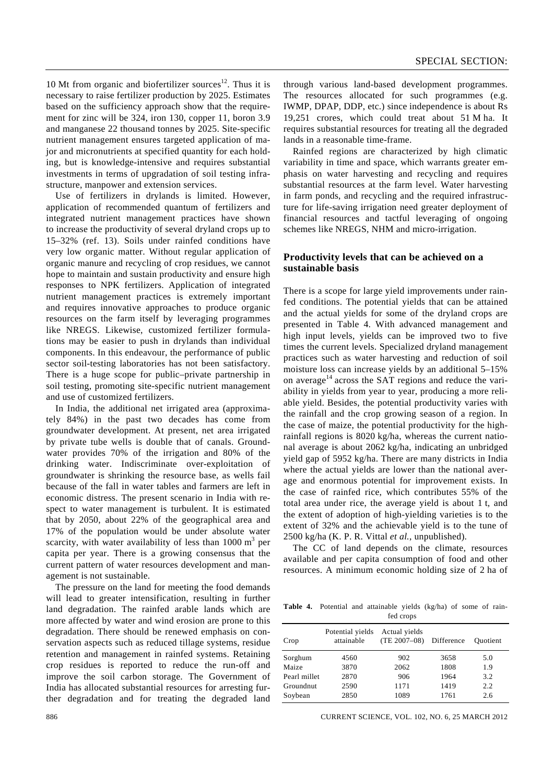10 Mt from organic and biofertilizer sources<sup>12</sup>. Thus it is necessary to raise fertilizer production by 2025. Estimates based on the sufficiency approach show that the requirement for zinc will be 324, iron 130, copper 11, boron 3.9 and manganese 22 thousand tonnes by 2025. Site-specific nutrient management ensures targeted application of major and micronutrients at specified quantity for each holding, but is knowledge-intensive and requires substantial investments in terms of upgradation of soil testing infrastructure, manpower and extension services.

 Use of fertilizers in drylands is limited. However, application of recommended quantum of fertilizers and integrated nutrient management practices have shown to increase the productivity of several dryland crops up to 15–32% (ref. 13). Soils under rainfed conditions have very low organic matter. Without regular application of organic manure and recycling of crop residues, we cannot hope to maintain and sustain productivity and ensure high responses to NPK fertilizers. Application of integrated nutrient management practices is extremely important and requires innovative approaches to produce organic resources on the farm itself by leveraging programmes like NREGS. Likewise, customized fertilizer formulations may be easier to push in drylands than individual components. In this endeavour, the performance of public sector soil-testing laboratories has not been satisfactory. There is a huge scope for public–private partnership in soil testing, promoting site-specific nutrient management and use of customized fertilizers.

 In India, the additional net irrigated area (approximately 84%) in the past two decades has come from groundwater development. At present, net area irrigated by private tube wells is double that of canals. Groundwater provides 70% of the irrigation and 80% of the drinking water. Indiscriminate over-exploitation of groundwater is shrinking the resource base, as wells fail because of the fall in water tables and farmers are left in economic distress. The present scenario in India with respect to water management is turbulent. It is estimated that by 2050, about 22% of the geographical area and 17% of the population would be under absolute water scarcity, with water availability of less than  $1000 \text{ m}^3$  per capita per year. There is a growing consensus that the current pattern of water resources development and management is not sustainable.

 The pressure on the land for meeting the food demands will lead to greater intensification, resulting in further land degradation. The rainfed arable lands which are more affected by water and wind erosion are prone to this degradation. There should be renewed emphasis on conservation aspects such as reduced tillage systems, residue retention and management in rainfed systems. Retaining crop residues is reported to reduce the run-off and improve the soil carbon storage. The Government of India has allocated substantial resources for arresting further degradation and for treating the degraded land

through various land-based development programmes. The resources allocated for such programmes (e.g. IWMP, DPAP, DDP, etc.) since independence is about Rs 19,251 crores, which could treat about 51 M ha. It requires substantial resources for treating all the degraded lands in a reasonable time-frame.

 Rainfed regions are characterized by high climatic variability in time and space, which warrants greater emphasis on water harvesting and recycling and requires substantial resources at the farm level. Water harvesting in farm ponds, and recycling and the required infrastructure for life-saving irrigation need greater deployment of financial resources and tactful leveraging of ongoing schemes like NREGS, NHM and micro-irrigation.

# **Productivity levels that can be achieved on a sustainable basis**

There is a scope for large yield improvements under rainfed conditions. The potential yields that can be attained and the actual yields for some of the dryland crops are presented in Table 4. With advanced management and high input levels, yields can be improved two to five times the current levels. Specialized dryland management practices such as water harvesting and reduction of soil moisture loss can increase yields by an additional 5–15% on average $14$  across the SAT regions and reduce the variability in yields from year to year, producing a more reliable yield. Besides, the potential productivity varies with the rainfall and the crop growing season of a region. In the case of maize, the potential productivity for the highrainfall regions is 8020 kg/ha, whereas the current national average is about 2062 kg/ha, indicating an unbridged yield gap of 5952 kg/ha. There are many districts in India where the actual yields are lower than the national average and enormous potential for improvement exists. In the case of rainfed rice, which contributes 55% of the total area under rice, the average yield is about 1 t, and the extent of adoption of high-yielding varieties is to the extent of 32% and the achievable yield is to the tune of 2500 kg/ha (K. P. R. Vittal *et al.*, unpublished).

 The CC of land depends on the climate, resources available and per capita consumption of food and other resources. A minimum economic holding size of 2 ha of

**Table 4.** Potential and attainable yields (kg/ha) of some of rain fed crops

| Crop         | Potential yields<br>attainable | Actual yields<br>$(TE 2007 - 08)$ | Difference | <b>Ouotient</b> |
|--------------|--------------------------------|-----------------------------------|------------|-----------------|
| Sorghum      | 4560                           | 902                               | 3658       | 5.0             |
| Maize        | 3870                           | 2062                              | 1808       | 1.9             |
| Pearl millet | 2870                           | 906                               | 1964       | 3.2             |
| Groundnut    | 2590                           | 1171                              | 1419       | 2.2             |
| Soybean      | 2850                           | 1089                              | 1761       | 2.6             |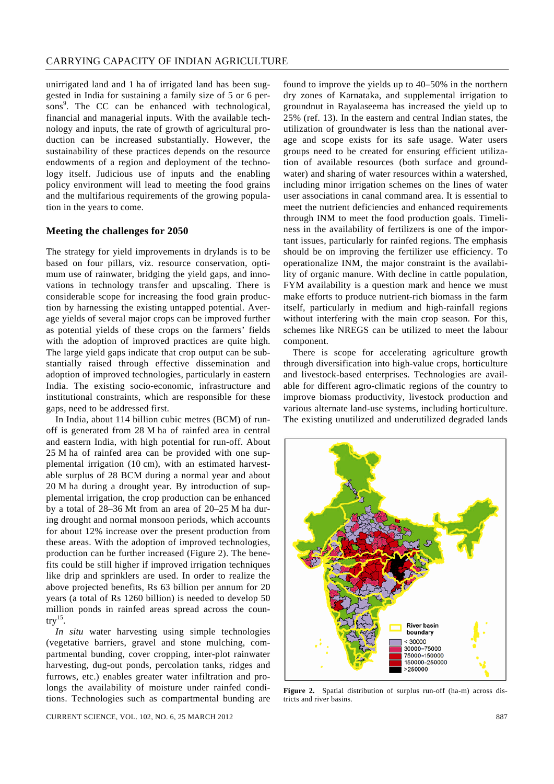unirrigated land and 1 ha of irrigated land has been suggested in India for sustaining a family size of 5 or 6 persons<sup>9</sup>. The CC can be enhanced with technological, financial and managerial inputs. With the available technology and inputs, the rate of growth of agricultural production can be increased substantially. However, the sustainability of these practices depends on the resource endowments of a region and deployment of the technology itself. Judicious use of inputs and the enabling policy environment will lead to meeting the food grains and the multifarious requirements of the growing population in the years to come.

#### **Meeting the challenges for 2050**

The strategy for yield improvements in drylands is to be based on four pillars, viz. resource conservation, optimum use of rainwater, bridging the yield gaps, and innovations in technology transfer and upscaling. There is considerable scope for increasing the food grain production by harnessing the existing untapped potential. Average yields of several major crops can be improved further as potential yields of these crops on the farmers' fields with the adoption of improved practices are quite high. The large yield gaps indicate that crop output can be substantially raised through effective dissemination and adoption of improved technologies, particularly in eastern India. The existing socio-economic, infrastructure and institutional constraints, which are responsible for these gaps, need to be addressed first.

 In India, about 114 billion cubic metres (BCM) of runoff is generated from 28 M ha of rainfed area in central and eastern India, with high potential for run-off. About 25 M ha of rainfed area can be provided with one supplemental irrigation (10 cm), with an estimated harvestable surplus of 28 BCM during a normal year and about 20 M ha during a drought year. By introduction of supplemental irrigation, the crop production can be enhanced by a total of 28–36 Mt from an area of 20–25 M ha during drought and normal monsoon periods, which accounts for about 12% increase over the present production from these areas. With the adoption of improved technologies, production can be further increased (Figure 2). The benefits could be still higher if improved irrigation techniques like drip and sprinklers are used. In order to realize the above projected benefits, Rs 63 billion per annum for 20 years (a total of Rs 1260 billion) is needed to develop 50 million ponds in rainfed areas spread across the coun $try<sup>15</sup>$ .

*In situ* water harvesting using simple technologies (vegetative barriers, gravel and stone mulching, compartmental bunding, cover cropping, inter-plot rainwater harvesting, dug-out ponds, percolation tanks, ridges and furrows, etc.) enables greater water infiltration and prolongs the availability of moisture under rainfed conditions. Technologies such as compartmental bunding are

CURRENT SCIENCE, VOL. 102, NO. 6, 25 MARCH 2012 887

found to improve the yields up to 40–50% in the northern dry zones of Karnataka, and supplemental irrigation to groundnut in Rayalaseema has increased the yield up to 25% (ref. 13). In the eastern and central Indian states, the utilization of groundwater is less than the national average and scope exists for its safe usage. Water users groups need to be created for ensuring efficient utilization of available resources (both surface and groundwater) and sharing of water resources within a watershed, including minor irrigation schemes on the lines of water user associations in canal command area. It is essential to meet the nutrient deficiencies and enhanced requirements through INM to meet the food production goals. Timeliness in the availability of fertilizers is one of the important issues, particularly for rainfed regions. The emphasis should be on improving the fertilizer use efficiency. To operationalize INM, the major constraint is the availability of organic manure. With decline in cattle population, FYM availability is a question mark and hence we must make efforts to produce nutrient-rich biomass in the farm itself, particularly in medium and high-rainfall regions without interfering with the main crop season. For this, schemes like NREGS can be utilized to meet the labour component.

 There is scope for accelerating agriculture growth through diversification into high-value crops, horticulture and livestock-based enterprises. Technologies are available for different agro-climatic regions of the country to improve biomass productivity, livestock production and various alternate land-use systems, including horticulture. The existing unutilized and underutilized degraded lands



**Figure 2.** Spatial distribution of surplus run-off (ha-m) across districts and river basins.